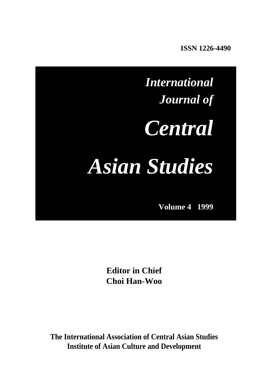**ISSN 1226-4490** 

# *International Journal of Central Asian Studies*

**Volume 4 1999** 

**Editor in Chief Choi Han-Woo**

**The International Association of Central Asian Studies Institute of Asian Culture and Development**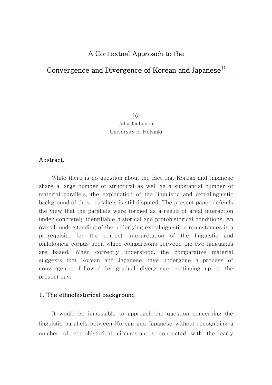# A Contextual Approach to the

# <span id="page-1-0"></span>Convergence and Divergence of Korean and Japanese<sup>1)</sup>

by Juha Janhunen University of Helsinki

#### Abstract.

While there is no question about the fact that Korean and Japanese share a large number of structural as well as a substantial number of material parallels, the explanation of the linguistic and extralinguistic background of these parallels is still disputed. The present paper defends the view that the parallels were formed as a result of areal interaction under concretely identifiable historical and protohistorical conditions. An overall understanding of the underlying extralinguistic circumstances is a prerequisite for the correct interpretation of the linguistic and philological corpus upon which comparisons between the two languages are based. When correctly understood, the comparative material suggests that Korean and Japanese have undergone a process of convergence, followed by gradual divergence continuing up to the present day.

# 1. The ethnohistorical background

It would be impossible to approach the question concerning the linguistic parallels between Korean and Japanese without recognizing a number of ethnohistorical circumstances connected with the early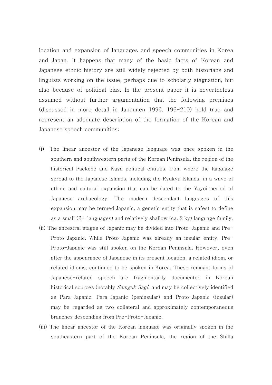location and expansion of languages and speech communities in Korea and Japan. It happens that many of the basic facts of Korean and Japanese ethnic history are still widely rejected by both historians and linguists working on the issue, perhaps due to scholarly stagnation, but also because of political bias. In the present paper it is nevertheless assumed without further argumentation that the following premises (discussed in more detail in Janhunen 1996. 196-210) hold true and represent an adequate description of the formation of the Korean and Japanese speech communities:

- (i) The linear ancestor of the Japanese language was once spoken in the southern and southwestern parts of the Korean Peninsula, the region of the historical Paekche and Kaya political entities, from where the language spread to the Japanese Islands, including the Ryukyu Islands, in a wave of ethnic and cultural expansion that can be dated to the Yayoi period of Japanese archaeology. The modern descendant languages of this expansion may be termed Japanic, a genetic entity that is safest to define as a small (2+ languages) and relatively shallow (ca. 2 ky) language family.
- (ii) The ancestral stages of Japanic may be divided into Proto-Japanic and Pre-Proto-Japanic. While Proto-Japanic was already an insular entity, Pre-Proto-Japanic was still spoken on the Korean Peninsula. However, even after the appearance of Japanese in its present location, a related idiom, or related idioms, continued to be spoken in Korea. These remnant forms of Japanese-related speech are fragmentarily documented in Korean historical sources (notably *Samguk Sagi*) and may be collectively identified as Para-Japanic. Para-Japanic (peninsular) and Proto-Japanic (insular) may be regarded as two collateral and approximately contemporaneous branches descending from Pre-Proto-Japanic.
- (iii) The linear ancestor of the Korean language was originally spoken in the southeastern part of the Korean Peninsula, the region of the Shilla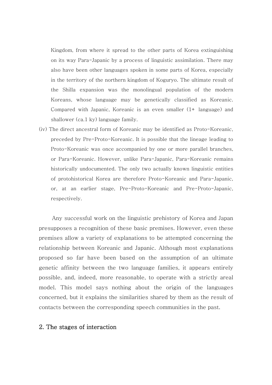Kingdom, from where it spread to the other parts of Korea extinguishing on its way Para-Japanic by a process of linguistic assimilation. There may also have been other languages spoken in some parts of Korea, especially in the territory of the northern kingdom of Koguryo. The ultimate result of the Shilla expansion was the monolingual population of the modern Koreans, whose language may be genetically classified as Koreanic. Compared with Japanic, Koreanic is an even smaller (1+ language) and shallower (ca.1 ky) language family.

(iv) The direct ancestral form of Koreanic may be identified as Proto-Koreanic, preceded by Pre-Proto-Koreanic. It is possible that the lineage leading to Proto-Koreanic was once accompanied by one or more parallel branches, or Para-Koreanic. However, unlike Para-Japanic, Para-Koreanic remains historically undocumented. The only two actually known linguistic entities of protohistorical Korea are therefore Proto-Koreanic and Para-Japanic, or, at an earlier stage, Pre-Proto-Koreanic and Pre-Proto-Japanic, respectively.

Any successful work on the linguistic prehistory of Korea and Japan presupposes a recognition of these basic premises. However, even these premises allow a variety of explanations to be attempted concerning the relationship between Koreanic and Japanic. Although most explanations proposed so far have been based on the assumption of an ultimate genetic affinity between the two language families, it appears entirely possible, and, indeed, more reasonable, to operate with a strictly areal model. This model says nothing about the origin of the languages concerned, but it explains the similarities shared by them as the result of contacts between the corresponding speech communities in the past.

#### 2. The stages of interaction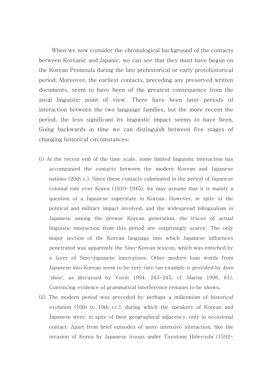When we now consider the chronological background of the contacts between Koreanic and Japanic, we can see that they must have begun on the Korean Peninsula during the late prehistorical or early protohistorical period. Moreover, the earliest contacts, preceding any preserved written documents, seem to have been of the greatest consequence from the areal linguistic point of view. There have been later periods of interaction between the two language families, but the more recent the period, the less significant its linguistic impact seems to have been. Going backwards in time we can distinguish between five stages of changing historical circumstances:

- (i) At the recent end of the time scale, some limited linguistic interaction has accompanied the contacts between the modern Korean and Japanese nations (20th c.). Since these contacts culminated in the period of Japanese colonial rule over Korea (1910-1945), we may assume that it is mainly a question of a Japanese superstate in Korean. However, in spite of the political and military impact involved, and the widespread bilingualism in Japanese among the prewar Korean generation, the traces of actual linguistic interaction from this period are surprisingly scarce. The only major section of the Korean language into which Japanese influences penetrated was apparently the Sino-Korean lexicon, which was enriched by a layer of Sino-Japanese innovations. Other modern loan words from Japanese into Korean seem to be very rare (an example is provided by kutu 'shoe', as discussed by Vovin 1994. 243-245, cf. Martin 1996. 81). Convincing evidence of grammatical interference remains to be shown.
- (ii) The modern period was preceded by perhaps a millennium of historical evolution (10th to 19th cc.), during which the speakers of Korean and Japanese were, in spite of their geographical adjacency, only in occasional contact. Apart from brief episodes of more intensive interaction, like the invasion of Korea by Japanese troops under Toyotomi Hideyoshi (1592-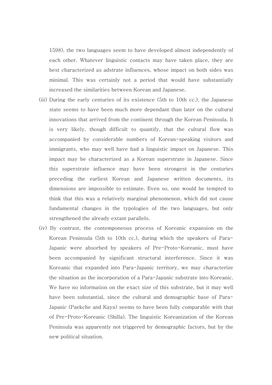1598), the two languages seem to have developed almost independently of each other. Whatever linguistic contacts may have taken place, they are best characterized as adstrate influences, whose impact on both sides was minimal. This was certainly not a period that would have substantially increased the similarities between Korean and Japanese.

- (iii) During the early centuries of its existence (5th to 10th cc.), the Japanese state seems to have been much more dependant than later on the cultural innovations that arrived from the continent through the Korean Peninsula. It is very likely, though difficult to quantify, that the cultural flow was accompanied by considerable numbers of Korean-speaking visitors and immigrants, who may well have had a linguistic impact on Japanese. This impact may be characterized as a Korean superstrate in Japanese. Since this superstrate influence may have been strongest in the centuries preceding the earliest Korean and Japanese written documents, its dimensions are impossible to estimate. Even so, one would be tempted to think that this was a relatively marginal phenomenon, which did not cause fundamental changes in the typologies of the two languages, but only strengthened the already extant parallels.
- (iv) By contrast, the contemponeous process of Koreanic expansion on the Korean Peninsula (5th to 10th cc.), during which the speakers of Para-Japanic were absorbed by speakers of Pre-Proto-Koreanic, must have been accompanied by significant structural interference. Since it was Koreanic that expanded into Para-Japanic territory, we may characterize the situation as the incorporation of a Para-Japanic substrate into Koreanic. We have no information on the exact size of this substrate, but it may well have been substantial, since the cultural and demographic base of Para-Japanic (Paekche and Kaya) seems to have been fully comparable with that of Pre-Proto-Koreanic (Shilla). The linguistic Koreanization of the Korean Peninsula was apparently not triggered by demographic factors, but by the new political situation.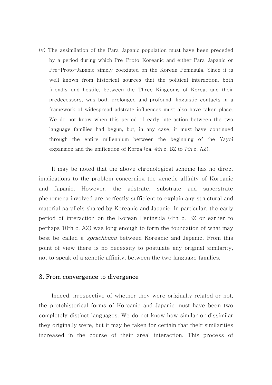(v) The assimilation of the Para-Japanic population must have been preceded by a period during which Pre-Proto-Koreanic and either Para-Japanic or Pre-Proto-Japanic simply coexisted on the Korean Peninsula. Since it is well known from historical sources that the political interaction, both friendly and hostile, between the Three Kingdoms of Korea, and their predecessors, was both prolonged and profound, linguistic contacts in a framework of widespread adstrate influences must also have taken place. We do not know when this period of early interaction between the two language families had begun, but, in any case, it must have continued through the entire millennium between the beginning of the Yayoi expansion and the unification of Korea (ca. 4th c. BZ to 7th c. AZ).

It may be noted that the above chronological scheme has no direct implications to the problem concerning the genetic affinity of Koreanic and Japanic. However, the adstrate, substrate and superstrate phenomena involved are perfectly sufficient to explain any structural and material parallels shared by Koreanic and Japanic. In particular, the early period of interaction on the Korean Peninsula (4th c. BZ or earlier to perhaps 10th c. AZ) was long enough to form the foundation of what may best be called a sprachbund between Koreanic and Japanic. From this point of view there is no necessity to postulate any original similarity, not to speak of a genetic affinity, between the two language families.

#### 3. From convergence to divergence

Indeed, irrespective of whether they were originally related or not, the protohistorical forms of Koreanic and Japanic must have been two completely distinct languages. We do not know how similar or dissimilar they originally were, but it may be taken for certain that their similarities increased in the course of their areal interaction. This process of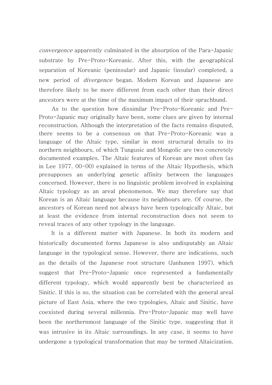convergence apparently culminated in the absorption of the Para-Japanic substrate by Pre-Proto-Koreanic. After this, with the geographical separation of Koreanic (peninsular) and Japanic (insular) completed, a new period of *divergence* began. Modern Korean and Japanese are therefore likely to be more different from each other than their direct ancestors were at the time of the maximum impact of their sprachbund.

As to the question how dissimilar Pre-Proto-Koreanic and Pre-Proto-Japanic may originally have been, some clues are given by internal reconstruction. Although the interpretation of the facts remains disputed, there seems to be a consensus on that Pre-Proto-Koreanic was a language of the Altaic type, similar in most structural details to its northern neighbours, of which Tungusic and Mongolic are two concretely documented examples. The Altaic features of Korean are most often (as in Lee 1977. 00-00) explained in terms of the Altaic Hypothesis, which presupposes an underlying genetic affinity between the languages concerned. However, there is no linguistic problem involved in explaining Altaic typology as an areal phenomenon. We may therefore say that Korean is an Altaic language because its neighbours are. Of course, the ancestors of Korean need not always have been typologically Altaic, but at least the evidence from internal reconstruction does not seem to reveal traces of any other typology in the language.

It is a different matter with Japanese. In both its modern and historically documented forms Japanese is also undisputably an Altaic language in the typological sense. However, there are indications, such as the details of the Japanese root structure (Janhunen 1997), which suggest that Pre-Proto-Japanic once represented a fundamentally different typology, which would apparently best be characterized as Sinitic. If this is so, the situation can be correlated with the general areal picture of East Asia, where the two typologies, Altaic and Sinitic, have coexisted during several millennia. Pre-Proto-Japanic may well have been the northernmost language of the Sinitic type, suggesting that it was intrusive in its Altaic surroundings. In any case, it seems to have undergone a typological transformation that may be termed Altaicization.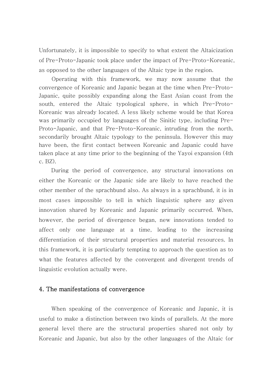Unfortunately, it is impossible to specify to what extent the Altaicization of Pre-Proto-Japanic took place under the impact of Pre-Proto-Koreanic, as opposed to the other languages of the Altaic type in the region.

Operating with this framework, we may now assume that the convergence of Koreanic and Japanic began at the time when Pre-Proto-Japanic, quite possibly expanding along the East Asian coast from the south, entered the Altaic typological sphere, in which Pre-Proto-Koreanic was already located. A less likely scheme would be that Korea was primarily occupied by languages of the Sinitic type, including Pre-Proto-Japanic, and that Pre-Proto-Koreanic, intruding from the north, secondarily brought Altaic typology to the peninsula. However this may have been, the first contact between Koreanic and Japanic could have taken place at any time prior to the beginning of the Yayoi expansion (4th c. BZ).

During the period of convergence, any structural innovations on either the Koreanic or the Japanic side are likely to have reached the other member of the sprachbund also. As always in a sprachbund, it is in most cases impossible to tell in which linguistic sphere any given innovation shared by Koreanic and Japanic primarily occurred. When, however, the period of divergence began, new innovations tended to affect only one language at a time, leading to the increasing differentiation of their structural properties and material resources. In this framework, it is particularly tempting to approach the question as to what the features affected by the convergent and divergent trends of linguistic evolution actually were.

## 4. The manifestations of convergence

When speaking of the convergence of Koreanic and Japanic, it is useful to make a distinction between two kinds of parallels. At the more general level there are the structural properties shared not only by Koreanic and Japanic, but also by the other languages of the Altaic (or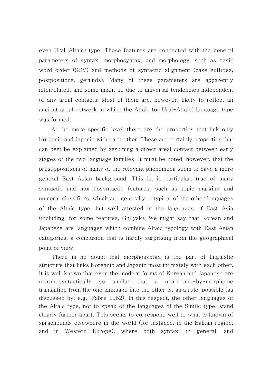even Ural-Altaic) type. These features are connected with the general parameters of syntax, morphosyntax, and morphology, such as basic word order (SOV) and methods of syntactic alignment (case suffixes, postpositions, gerunds). Many of these parameters are apparently interrelated, and some might be due to universal tendencies independent of any areal contacts. Most of them are, however, likely to reflect an ancient areal network in which the Altaic (or Ural-Altaic) language type was formed.

At the more specific level there are the properties that link only Koreanic and Japanic with each other. These are certainly properties that can best be explained by assuming a direct areal contact between early stages of the two language families. It must be noted, however, that the presuppositions of many of the relevant phenomena seem to have a more general East Asian background. This is, in particular, true of many syntactic and morphosyntactic features, such as topic marking and numeral classifiers, which are generally untypical of the other languages of the Altaic type, but well attested in the languages of East Asia (including, for some features, Ghilyak). We might say that Korean and Japanese are languages which combine Altaic typology with East Asian categories, a conclusion that is hardly surprising from the geographical point of view.

There is no doubt that morphosyntax is the part of linguistic structure that links Koreanic and Japanic most intimately with each other. It is well known that even the modern forms of Korean and Japanese are morphosyntactically so similar that a morpheme-by-morpheme translation from the one language into the other is, as a rule, possible (as discussed by, e.g., Fabre 1982). In this respect, the other languages of the Altaic type, not to speak of the languages of the Sinitic type, stand clearly further apart. This seems to correspond well to what is known of sprachbunds elsewhere in the world (for instance, in the Balkan region, and in Western Europe), where both syntax, in general, and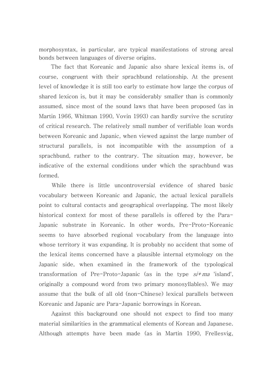morphosyntax, in particular, are typical manifestations of strong areal bonds between languages of diverse origins.

The fact that Koreanic and Japanic also share lexical items is, of course, congruent with their sprachbund relationship. At the present level of knowledge it is still too early to estimate how large the corpus of shared lexicon is, but it may be considerably smaller than is commonly assumed, since most of the sound laws that have been proposed (as in Martin 1966, Whitman 1990, Vovin 1993) can hardly survive the scrutiny of critical research. The relatively small number of verifiable loan words between Koreanic and Japanic, when viewed against the large number of structural parallels, is not incompatible with the assumption of a sprachbund, rather to the contrary. The situation may, however, be indicative of the external conditions under which the sprachbund was formed.

While there is little uncontroversial evidence of shared basic vocabulary between Koreanic and Japanic, the actual lexical parallels point to cultural contacts and geographical overlapping. The most likely historical context for most of these parallels is offered by the Para-Japanic substrate in Koreanic. In other words, Pre-Proto-Koreanic seems to have absorbed regional vocabulary from the language into whose territory it was expanding. It is probably no accident that some of the lexical items concerned have a plausible internal etymology on the Japanic side, when examined in the framework of the typological transformation of Pre-Proto-Japanic (as in the type  $si+m$ a 'island', originally a compound word from two primary monosyllables). We may assume that the bulk of all old (non-Chinese) lexical parallels between Koreanic and Japanic are Para-Japanic borrowings in Korean.

Against this background one should not expect to find too many material similarities in the grammatical elements of Korean and Japanese. Although attempts have been made (as in Martin 1990, Frellesvig,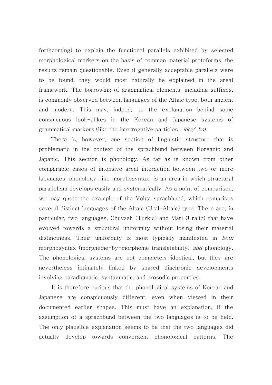forthcoming) to explain the functional parallels exhibited by selected morphological markers on the basis of common material protoforms, the results remain questionable. Even if generally acceptable parallels were to be found, they would most naturally be explained in the areal framework. The borrowing of grammatical elements, including suffixes, is commonly observed between languages of the Altaic type, both ancient and modern. This may, indeed, be the explanation behind some conspicuous look-alikes in the Korean and Japanese systems of grammatical markers (like the interrogative particles  $-kka-ka$ ).

There is, however, one section of linguistic structure that is problematic in the context of the sprachbund between Koreanic and Japanic. This section is phonology. As far as is known from other comparable cases of intensive areal interaction between two or more languages, phonology, like morphosyntax, is an area in which structural parallelism develops easily and systematically. As a point of comparison, we may quote the example of the Volga sprachbund, which comprises several distinct languages of the Altaic (Ural-Altaic) type. There are, in particular, two languages, Chuvash (Turkic) and Mari (Uralic) that have evolved towards a structural uniformity without losing their material distinctness. Their uniformity is most typically manifested in both morphosyntax (morpheme-by-morpheme translatability) and phonology. The phonological systems are not completely identical, but they are nevertheless intimately linked by shared diachronic developments involving paradigmatic, syntagmatic, and prosodic properties.

It is therefore curious that the phonological systems of Korean and Japanese are conspicuously different, even when viewed in their documented earlier shapes. This must have an explanation, if the assumption of a sprachbund between the two languages is to be held. The only plausible explanation seems to be that the two languages did actually develop towards convergent phonological patterns. The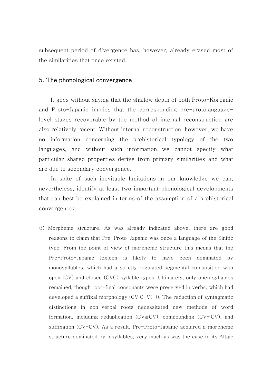subsequent period of divergence has, however, already erased most of the similarities that once existed.

#### 5. The phonological convergence

It goes without saying that the shallow depth of both Proto-Koreanic and Proto-Japanic implies that the corresponding pre-protolanguagelevel stages recoverable by the method of internal reconstruction are also relatively recent. Without internal reconstruction, however, we have no information concerning the prehistorical typology of the two languages, and without such information we cannot specify what particular shared properties derive from primary similarities and what are due to secondary convergence.

In spite of such inevitable limitations in our knowledge we can, nevertheless, identify at least two important phonological developments that can best be explained in terms of the assumption of a prehistorical convergence:

(i) Morpheme structure. As was already indicated above, there are good reasons to claim that Pre-Proto-Japanic was once a language of the Sinitic type. From the point of view of morpheme structure this means that the Pre-Proto-Japanic lexicon is likely to have been dominated by monosyllables, which had a strictly regulated segmental composition with open (CV) and closed (CVC) syllable types. Ultimately, only open syllables remained, though root-final consonants were preserved in verbs, which had developed a suffixal morphology  $(CV.C-V(-))$ . The reduction of syntagmatic distinctions in non-verbal roots necessitated new methods of word formation, including reduplication (CV&CV), compounding (CV+CV). and suffixation (CV-CV). As a result, Pre-Proto-Japanic acquired a morpheme structure dominated by bisyllables, very much as was the case in its Altaic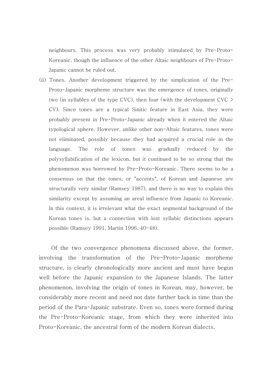neighbours. This process was very probably stimulated by Pre-Proto-Koreanic, though the influence of the other Altaic neighbours of Pre-Proto-Japanic cannot be ruled out.

(ii) Tones. Another development triggered by the simplication of the Pre-Proto-Japanic morpheme structure was the emergence of tones, originally two (in syllables of the type CVC), then four (with the development CVC > CV). Since tones are a typical Sinitic feature in East Asia, they were probably present in Pre-Proto-Japanic already when it entered the Altaic typological sphere. However, unlike other non-Altaic features, tones were not eliminated, possibly because they had acquired a crucial role in the language. The role of tones was gradually reduced by the polysyllabification of the lexicon, but it continued to be so strong that the phenomenon was borrowed by Pre-Proto-Koreanic. There seems to be a consensus on that the tones, or "accents", of Korean and Japanese are structurally very similar (Ramsey 1987), and there is no way to explain this similarity except by assuming an areal influence from Japanic to Koreanic. In this context, it is irrelevant what the exact segmental background of the Korean tones is, but a connection with lost syllabic distinctions appears possible (Ramsey 1991, Martin 1996. 40-48).

Of the two convergence phenomena discussed above, the former, involving the transformation of the Pre-Proto-Japanic morpheme structure, is clearly chronologically more ancient and must have begun well before the Japanic expansion to the Japanese Islands. The latter phenomenon, involving the origin of tones in Korean, may, however, be considerably more recent and need not date further back in time than the period of the Para-Japanic substrate. Even so, tones were formed during the Pre-Proto-Koreanic stage, from which they were inherited into Proto-Koreanic, the ancestral form of the modern Korean dialects.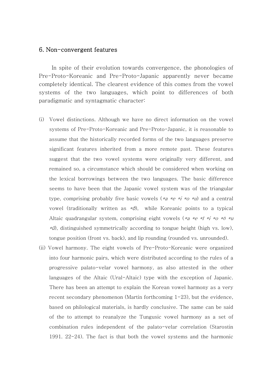#### 6. Non-convergent features

In spite of their evolution towards convergence, the phonologies of Pre-Proto-Koreanic and Pre-Proto-Japanic apparently never became completely identical. The clearest evidence of this comes from the vowel systems of the two languages, which point to differences of both paradigmatic and syntagmatic character:

- (i) Vowel distinctions. Although we have no direct information on the vowel systems of Pre-Proto-Koreanic and Pre-Proto-Japanic, it is reasonable to assume that the historically recorded forms of the two languages preserve significant features inherited from a more remote past. These features suggest that the two vowel systems were originally very different, and remained so, a circumstance which should be considered when working on the lexical borrowings between the two languages. The basic difference seems to have been that the Japanic vowel system was of the triangular type, comprising probably five basic vowels (\*a \*e \*i \*o \*u) and a central vowel (traditionally written as  $*{\ddot{\sigma}}$ ), while Koreanic points to a typical Altaic quadrangular system, comprising eight vowels (\*a \*e \*i \*i \*o \*ö \*u  $*\ddot{\theta}$ , distinguished symmetrically according to tongue height (high vs. low), tongue position (front vs. back), and lip rounding (rounded vs. unrounded).
- (ii) Vowel harmony. The eight vowels of Pre-Proto-Koreanic were organized into four harmonic pairs, which were distributed according to the rules of a progressive palato-velar vowel harmony, as also attested in the other languages of the Altaic (Ural-Altaic) type with the exception of Japanic. There has been an attempt to explain the Korean vowel harmony as a very recent secondary phenomenon (Martin forthcoming 1-23), but the evidence, based on philological materials, is hardly conclusive. The same can be said of the to attempt to reanalyze the Tungusic vowel harmony as a set of combination rules independent of the palato-velar correlation (Starostin 1991. 22-24). The fact is that both the vowel systems and the harmonic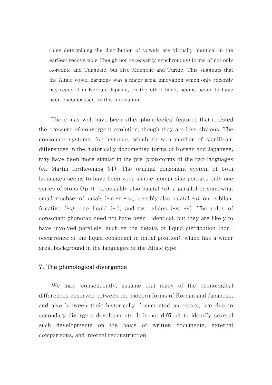rules determining the distribution of vowels are virtually identical in the earliest recoverable (though not necessarily synchronous) forms of not only Koreanic and Tungusic, but also Mongolic and Turkic. This suggests that the Altaic vowel harmony was a major areal innovation which only recently has receded in Korean. Japanic, on the other hand, seems never to have been encompassed by this innovation.

There may well have been other phonological features that resisted the pressure of convergent evolution, though they are less obvious. The consonant systems, for instance, which show a number of significant differences in the historically documented forms of Korean and Japanese, may have been more similar in the pre-protoforms of the two languages (cf. Martin forthcoming 61). The original consonant system of both languages seems to have been very simple, comprising perhaps only one series of stops (\*p \*t \*k, possibly also palatal \*c), a parallel or somewhat smaller subset of nasals (\*m \*n \*ng, possibly also palatal \*n), one sibilant fricative  $(*s)$ , one liquid  $(*r)$ , and two glides  $(*w *y)$ . The rules of consonant phonotax need not have been identical, but they are likely to have involved parallels, such as the details of liquid distribution (nonoccurrence of the liquid consonant in initial position), which has a wider areal background in the languages of the Altaic type.

### 7. The phonological divergence

We may, consequently, assume that many of the phonological differences observed between the modern forms of Korean and Japanese, and also between their historically documented ancestors, are due to secondary divergent developments. It is not difficult to identify several such developments on the basis of written documents, external comparisons, and internal reconstruction: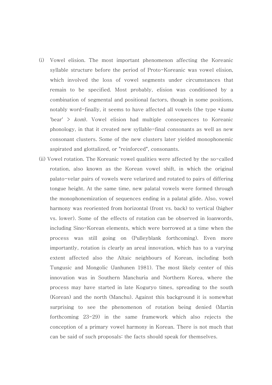- (i) Vowel elision. The most important phenomenon affecting the Koreanic syllable structure before the period of Proto-Koreanic was vowel elision, which involved the loss of vowel segments under circumstances that remain to be specified. Most probably, elision was conditioned by a combination of segmental and positional factors, though in some positions, notably word-finally, it seems to have affected all vowels (the type \*kuma 'bear'  $>$  *kom*). Vowel elision had multiple consequences to Koreanic phonology, in that it created new syllable-final consonants as well as new consonant clusters. Some of the new clusters later yielded monophonemic aspirated and glottalized, or "reinforced", consonants.
- (ii) Vowel rotation. The Koreanic vowel qualities were affected by the so-called rotation, also known as the Korean vowel shift, in which the original palato-velar pairs of vowels were velarized and rotated to pairs of differing tongue height. At the same time, new palatal vowels were formed through the monophonemization of sequences ending in a palatal glide. Also, vowel harmony was reoriented from horizontal (front vs. back) to vertical (higher vs. lower). Some of the effects of rotation can be observed in loanwords, including Sino-Korean elements, which were borrowed at a time when the process was still going on (Pulleyblank forthcoming). Even more importantly, rotation is clearly an areal innovation, which has to a varying extent affected also the Altaic neighbours of Korean, including both Tungusic and Mongolic (Janhunen 1981). The most likely center of this innovation was in Southern Manchuria and Northern Korea, where the process may have started in late Koguryo times, spreading to the south (Korean) and the north (Manchu). Against this background it is somewhat surprising to see the phenomenon of rotation being denied (Martin forthcoming 23-29) in the same framework which also rejects the conception of a primary vowel harmony in Korean. There is not much that can be said of such proposals: the facts should speak for themselves.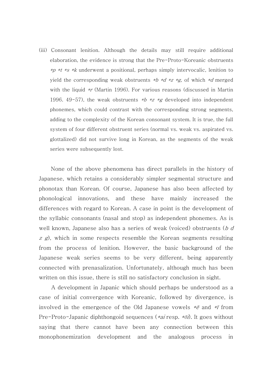(iii) Consonant lenition. Although the details may still require additional elaboration, the evidence is strong that the Pre-Proto-Koreanic obstruents \*p \*t \*s \*k underwent a positional, perhaps simply intervocalic, lenition to yield the corresponding weak obstruents  $*$ *b*  $*$ *d*  $*$ *z*  $*$ *g*, of which  $*$ *d* merged with the liquid \*r (Martin 1996). For various reasons (discussed in Martin 1996. 49-57), the weak obstruents  $*$ b  $*$ z  $*$ g developed into independent phonemes, which could contrast with the corresponding strong segments, adding to the complexity of the Korean consonant system. It is true, the full system of four different obstruent series (normal vs. weak vs. aspirated vs. glottalized) did not survive long in Korean, as the segments of the weak series were subsequently lost.

None of the above phenomena has direct parallels in the history of Japanese, which retains a considerably simpler segmental structure and phonotax than Korean. Of course, Japanese has also been affected by phonological innovations, and these have mainly increased the differences with regard to Korean. A case in point is the development of the syllabic consonants (nasal and stop) as independent phonemes. As is well known, Japanese also has a series of weak (voiced) obstruents (b  $d$ z g), which in some respects resemble the Korean segments resulting from the process of lenition. However, the basic background of the Japanese weak series seems to be very different, being apparently connected with prenasalization. Unfortunately, although much has been written on this issue, there is still no satisfactory conclusion in sight.

A development in Japanic which should perhaps be understood as a case of initial convergence with Koreanic, followed by divergence, is involved in the emergence of the Old Japanese vowels  $*\ddot{e}$  and  $*\ddot{r}$  from Pre-Proto-Japanic diphthongoid sequences (\*ai resp. \*öi). It goes without saying that there cannot have been any connection between this monophonemization development and the analogous process in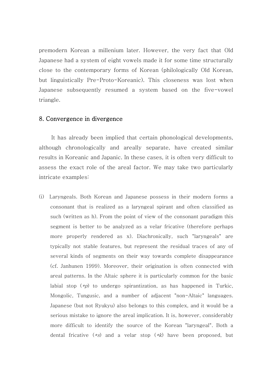premodern Korean a millenium later. However, the very fact that Old Japanese had a system of eight vowels made it for some time structurally close to the contemporary forms of Korean (philologically Old Korean, but linguistically Pre-Proto-Koreanic). This closeness was lost when Japanese subsequently resumed a system based on the five-vowel triangle.

# 8. Convergence in divergence

It has already been implied that certain phonological developments, although chronologically and areally separate, have created similar results in Koreanic and Japanic. In these cases, it is often very difficult to assess the exact role of the areal factor. We may take two particularly intricate examples:

(i) Laryngeals. Both Korean and Japanese possess in their modern forms a consonant that is realized as a laryngeal spirant and often classified as such (written as h). From the point of view of the consonant paradigm this segment is better to be analyzed as a velar fricative (therefore perhaps more properly rendered as x). Diachronically, such "laryngeals" are typically not stable features, but represent the residual traces of any of several kinds of segments on their way towards complete disappearance (cf. Janhunen 1999). Moreover, their origination is often connected with areal patterns. In the Altaic sphere it is particularly common for the basic labial stop  $(*p)$  to undergo spirantization, as has happened in Turkic, Mongolic, Tungusic, and a number of adjacent "non-Altaic" languages. Japanese (but not Ryukyu) also belongs to this complex, and it would be a serious mistake to ignore the areal implication. It is, however, considerably more difficult to identify the source of the Korean "laryngeal". Both a dental fricative  $(*s)$  and a velar stop  $(*k)$  have been proposed, but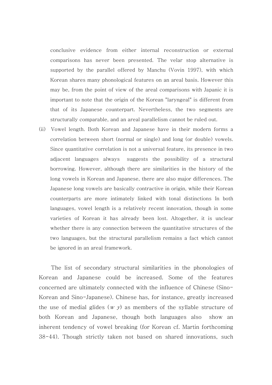conclusive evidence from either internal reconstruction or external comparisons has never been presented. The velar stop alternative is supported by the parallel offered by Manchu (Vovin 1997), with which Korean shares many phonological features on an areal basis. However this may be, from the point of view of the areal comparisons with Japanic it is important to note that the origin of the Korean "laryngeal" is different from that of its Japanese counterpart. Nevertheless, the two segments are structurally comparable, and an areal parallelism cannot be ruled out.

(ii) Vowel length. Both Korean and Japanese have in their modern forms a correlation between short (normal or single) and long (or double) vowels. Since quantitative correlation is not a universal feature, its presence in two adjacent languages always suggests the possibility of a structural borrowing. However, although there are similarities in the history of the long vowels in Korean and Japanese, there are also major differences. The Japanese long vowels are basically contractive in origin, while their Korean counterparts are more intimately linked with tonal distinctions In both languages, vowel length is a relatively recent innovation, though in some varieties of Korean it has already been lost. Altogether, it is unclear whether there is any connection between the quantitative structures of the two languages, but the structural parallelism remains a fact which cannot be ignored in an areal framework.

The list of secondary structural similarities in the phonologies of Korean and Japanese could be increased. Some of the features concerned are ultimately connected with the influence of Chinese (Sino-Korean and Sino-Japanese). Chinese has, for instance, greatly increased the use of medial glides  $(w, y)$  as members of the syllable structure of both Korean and Japanese, though both languages also show an inherent tendency of vowel breaking (for Korean cf. Martin forthcoming 38-44). Though strictly taken not based on shared innovations, such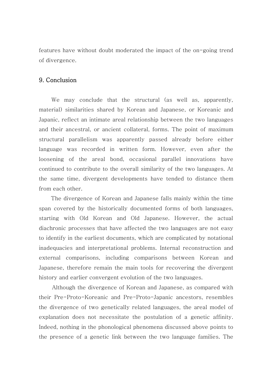features have without doubt moderated the impact of the on-going trend of divergence.

# 9. Conclusion

We may conclude that the structural (as well as, apparently, material) similarities shared by Korean and Japanese, or Koreanic and Japanic, reflect an intimate areal relationship between the two languages and their ancestral, or ancient collateral, forms. The point of maximum structural parallelism was apparently passed already before either language was recorded in written form. However, even after the loosening of the areal bond, occasional parallel innovations have continued to contribute to the overall similarity of the two languages. At the same time, divergent developments have tended to distance them from each other.

The divergence of Korean and Japanese falls mainly within the time span covered by the historically documented forms of both languages, starting with Old Korean and Old Japanese. However, the actual diachronic processes that have affected the two languages are not easy to identify in the earliest documents, which are complicated by notational inadequacies and interpretational problems. Internal reconstruction and external comparisons, including comparisons between Korean and Japanese, therefore remain the main tools for recovering the divergent history and earlier convergent evolution of the two languages.

Although the divergence of Korean and Japanese, as compared with their Pre-Proto-Koreanic and Pre-Proto-Japanic ancestors, resembles the divergence of two genetically related languages, the areal model of explanation does not necessitate the postulation of a genetic affinity. Indeed, nothing in the phonological phenomena discussed above points to the presence of a genetic link between the two language families. The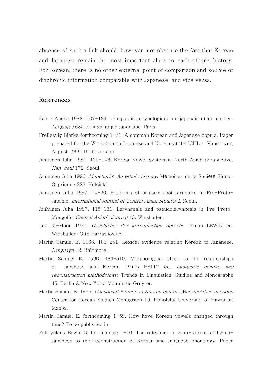absence of such a link should, however, not obscure the fact that Korean and Japanese remain the most important clues to each other's history. For Korean, there is no other external point of comparison and source of diachronic information comparable with Japanese, and vice versa.

## References

- Fabre André 1982. 107-124. Comparaison typologique du japonais et du coréen. Langages 68: La linguistique japonaise. Paris.
- Frellesvig Bjarke forthcoming 1-31. A common Korean and Japanese copula. Paper prepared for the Workshop on Japanese and Korean at the ICHL in Vancouver, August 1999. Draft version.
- Janhunen Juha 1981. 129-146. Korean vowel system in North Asian perspective. Han-geul 172. Seoul.
- Janhunen Juha 1996. *Manchuria: An ethnic history*. Mémoires de la Société Finno-Ougrienne 222. Helsinki.
- Janhunen Juha 1997. 14-30. Problems of primary root structure in Pre-Proto-Japanic. International Journal of Central Asian Studies 2. Seoul.
- Janhunen Juha 1997. 115-131. Laryngeals and pseudolaryngeals in Pre-Proto-Mongolic. Central Asiatic Journal 43. Wiesbaden.
- Lee Ki-Moon 1977. Geschichte der koreanischen Sprache. Bruno LEWIN ed. Wiesbaden: Otto Harrassowitz.
- Martin Samuel E. 1966. 185-251. Lexical evidence relating Korean to Japanese. Language 42. Baltimore.
- Martin Samuel E. 1990. 483-510. Morphological clues to the relationships of Japanese and Korean. Philip BALDI ed. Linguistic change and reconstruction methodology. Trends in Linguistics. Studies and Monographs 45. Berlin & New York: Mouton de Gruyter.
- Martin Samuel E. 1996. *Consonant lenition in Korean and the Macro-Altaic question*. Center for Korean Studies Monograph 19. Honolulu: University of Hawaii at Manoa.
- Martin Samuel E. forthcoming 1-59. How have Korean vowels changed through time? To be published in:
- Pulleyblank Edwin G. forthcoming 1-40. The relevance of Sino-Korean and Sino-Japanese to the reconstruction of Korean and Japanese phonology. Paper